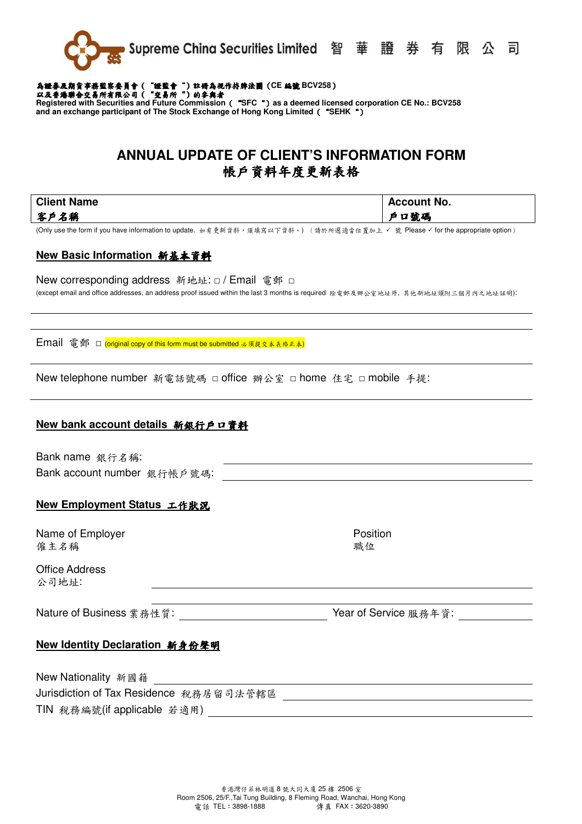

# 為證券及期貨事務監察委員會 ( "證監會" ) 註冊為視作持牌法團 (CE 編號 BCV258 )<br>以及香港聯合交易所有限公司 ( "交易所" ) 的拿與者

**Registered with Securities and Future Commission**("**SFC**")**as a deemed licensed corporation CE No.: BCV258 and an exchange participant of The Stock Exchange of Hong Kong Limited**("**SEHK**")

## **ANNUAL UPDATE OF CLIENT'S INFORMATION FORM**  帳戶資料年度更新表格

**Client Name**  客戶名稱

(Only use the form if you have information to update. 如有更新資料,須填寫以下資料。) (請於所選適當位置加上 ४ 號 Please ४ for the appropriate option)

## **New Basic Information** 新基本資料

New corresponding address 新地址: □ / Email 電郵 □ (except email and office addresses, an address proof issued within the last 3 months is required 除電郵及辦公室地址外, 其他新地址須附三個月內之地址証明):

Email 電郵 □ (original copy of this form must be submitted 必須提交本表格正本)

New telephone number 新電話號碼 □ office 辦公室 □ home 住宅 □ mobile 手提:

#### **New bank account details** 新銀行戶口資料

Bank name 銀行名稱: Bank account number 銀行帳戶號碼:

## **New Employment Status** 工作狀況

Name of Employer 僱主名稱

Office Address 公司地址:

Nature of Business業務性質: Year of Service 服務年資:

Position 職位

## **New Identity Declaration** 新身份聲明

New Nationality 新國籍 Jurisdiction of Tax Residence 稅務居留司法管轄區 TIN 稅務編號(if applicable 若適用)

**Account No.** 

戶口號碼